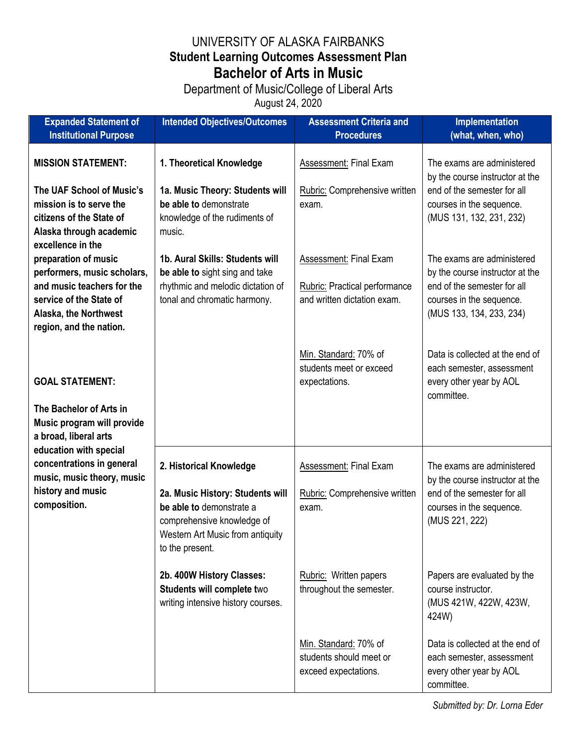## UNIVERSITY OF ALASKA FAIRBANKS **Student Learning Outcomes Assessment Plan Bachelor of Arts in Music**

## Department of Music/College of Liberal Arts

August 24, 2020

| <b>Expanded Statement of</b><br><b>Institutional Purpose</b>                                                                                                     | <b>Intended Objectives/Outcomes</b>                                                                                                                                          | <b>Assessment Criteria and</b><br><b>Procedures</b>                                                                            | <b>Implementation</b><br>(what, when, who)                                                                                                                                                    |
|------------------------------------------------------------------------------------------------------------------------------------------------------------------|------------------------------------------------------------------------------------------------------------------------------------------------------------------------------|--------------------------------------------------------------------------------------------------------------------------------|-----------------------------------------------------------------------------------------------------------------------------------------------------------------------------------------------|
| <b>MISSION STATEMENT:</b><br>The UAF School of Music's<br>mission is to serve the<br>citizens of the State of<br>Alaska through academic<br>excellence in the    | 1. Theoretical Knowledge<br>1a. Music Theory: Students will<br>be able to demonstrate<br>knowledge of the rudiments of<br>music.                                             | Assessment: Final Exam<br>Rubric: Comprehensive written<br>exam.                                                               | The exams are administered<br>by the course instructor at the<br>end of the semester for all<br>courses in the sequence.<br>(MUS 131, 132, 231, 232)                                          |
| preparation of music<br>performers, music scholars,<br>and music teachers for the<br>service of the State of<br>Alaska, the Northwest<br>region, and the nation. | 1b. Aural Skills: Students will<br>be able to sight sing and take<br>rhythmic and melodic dictation of<br>tonal and chromatic harmony.                                       | <b>Assessment: Final Exam</b><br><b>Rubric:</b> Practical performance<br>and written dictation exam.                           | The exams are administered<br>by the course instructor at the<br>end of the semester for all<br>courses in the sequence.<br>(MUS 133, 134, 233, 234)                                          |
| <b>GOAL STATEMENT:</b><br>The Bachelor of Arts in<br>Music program will provide<br>a broad, liberal arts                                                         |                                                                                                                                                                              | Min. Standard: 70% of<br>students meet or exceed<br>expectations.                                                              | Data is collected at the end of<br>each semester, assessment<br>every other year by AOL<br>committee.                                                                                         |
| education with special<br>concentrations in general<br>music, music theory, music<br>history and music<br>composition.                                           | 2. Historical Knowledge<br>2a. Music History: Students will<br>be able to demonstrate a<br>comprehensive knowledge of<br>Western Art Music from antiquity<br>to the present. | <b>Assessment: Final Exam</b><br>Rubric: Comprehensive written<br>exam.                                                        | The exams are administered<br>by the course instructor at the<br>end of the semester for all<br>courses in the sequence.<br>(MUS 221, 222)                                                    |
|                                                                                                                                                                  | 2b. 400W History Classes:<br>Students will complete two<br>writing intensive history courses.                                                                                | Rubric: Written papers<br>throughout the semester.<br>Min. Standard: 70% of<br>students should meet or<br>exceed expectations. | Papers are evaluated by the<br>course instructor.<br>(MUS 421W, 422W, 423W,<br>424W)<br>Data is collected at the end of<br>each semester, assessment<br>every other year by AOL<br>committee. |